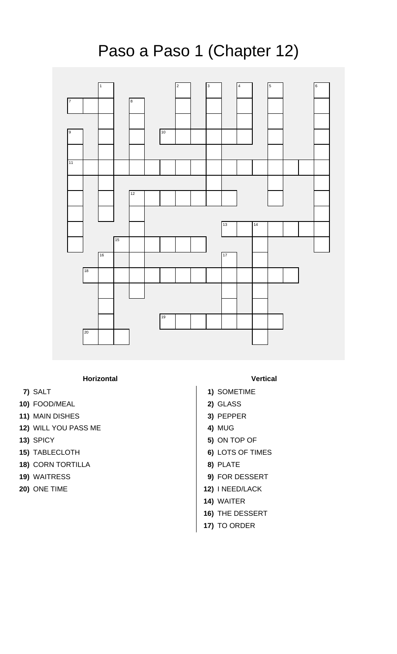## Paso a Paso 1 (Chapter 12)



## **Horizontal Vertical**

- 
- **10)** FOOD/MEAL **2)** GLASS
- **11)** MAIN DISHES **3)** PEPPER
- **12)** WILL YOU PASS ME **4)** MUG
- 
- **15)** TABLECLOTH **6)** LOTS OF TIMES
- **18)** CORN TORTILLA **8)** PLATE
- 
- 

- **7)** SALT **1)** SOMETIME
	-
	-
	-
- **13)** SPICY **5)** ON TOP OF
	-
	-
- **19)** WAITRESS **9)** FOR DESSERT
- **20)** ONE TIME **12)** I NEED/LACK
	- **14)** WAITER
	- **16)** THE DESSERT
	- **17)** TO ORDER